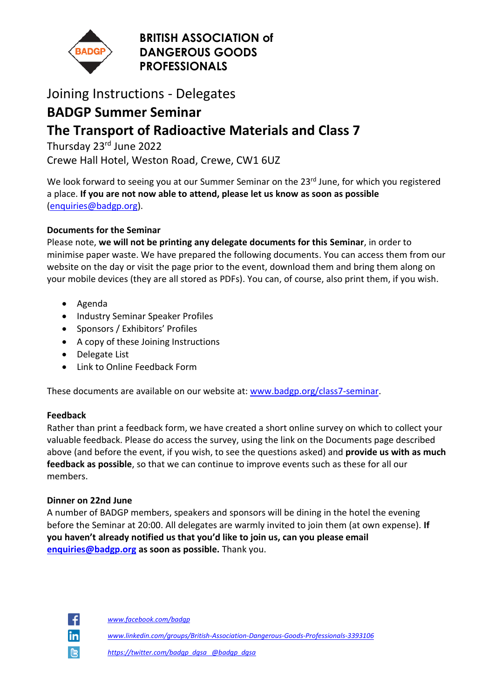

### **BRITISH ASSOCIATION of DANGEROUS GOODS PROFESSIONALS**

## Joining Instructions - Delegates

## **BADGP Summer Seminar**

# **The Transport of Radioactive Materials and Class 7**

Thursday 23<sup>rd</sup> June 2022

Crewe Hall Hotel, Weston Road, Crewe, CW1 6UZ

We look forward to seeing you at our Summer Seminar on the 23<sup>rd</sup> June, for which you registered a place. **If you are not now able to attend, please let us know as soon as possible** [\(enquiries@badgp.org\)](mailto:enquiries@badgp.org).

### **Documents for the Seminar**

Please note, **we will not be printing any delegate documents for this Seminar**, in order to minimise paper waste. We have prepared the following documents. You can access them from our website on the day or visit the page prior to the event, download them and bring them along on your mobile devices (they are all stored as PDFs). You can, of course, also print them, if you wish.

- Agenda
- Industry Seminar Speaker Profiles
- Sponsors / Exhibitors' Profiles
- A copy of these Joining Instructions
- Delegate List
- Link to Online Feedback Form

These documents are available on our website at: [www.badgp.org/class7-seminar.](http://www.badgp.org/class7-seminar)

### **Feedback**

Rather than print a feedback form, we have created a short online survey on which to collect your valuable feedback. Please do access the survey, using the link on the Documents page described above (and before the event, if you wish, to see the questions asked) and **provide us with as much feedback as possible**, so that we can continue to improve events such as these for all our members.

### **Dinner on 22nd June**

A number of BADGP members, speakers and sponsors will be dining in the hotel the evening before the Seminar at 20:00. All delegates are warmly invited to join them (at own expense). **If you haven't already notified us that you'd like to join us, can you please email [enquiries@badgp.org](mailto:enquiries@badgp.org) as soon as possible.** Thank you.



*www.facebook.com/badgp*

*www.linkedin.com/groups/British-Association-Dangerous-Goods-Professionals-3393106*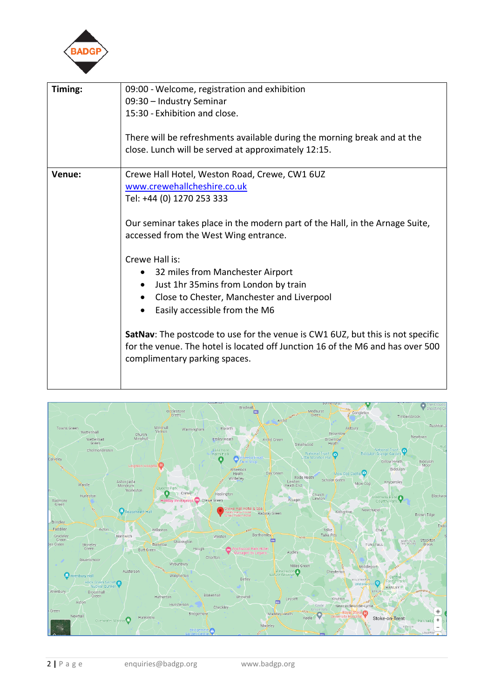

| Timing: | 09:00 - Welcome, registration and exhibition                                   |
|---------|--------------------------------------------------------------------------------|
|         | 09:30 - Industry Seminar                                                       |
|         | 15:30 - Exhibition and close.                                                  |
|         |                                                                                |
|         | There will be refreshments available during the morning break and at the       |
|         | close. Lunch will be served at approximately 12:15.                            |
|         |                                                                                |
| Venue:  | Crewe Hall Hotel, Weston Road, Crewe, CW1 6UZ                                  |
|         | www.crewehallcheshire.co.uk                                                    |
|         | Tel: +44 (0) 1270 253 333                                                      |
|         |                                                                                |
|         | Our seminar takes place in the modern part of the Hall, in the Arnage Suite,   |
|         | accessed from the West Wing entrance.                                          |
|         | Crewe Hall is:                                                                 |
|         | • 32 miles from Manchester Airport                                             |
|         | Just 1hr 35mins from London by train<br>$\bullet$                              |
|         | Close to Chester, Manchester and Liverpool                                     |
|         | Easily accessible from the M6<br>$\bullet$                                     |
|         |                                                                                |
|         | SatNav: The postcode to use for the venue is CW1 6UZ, but this is not specific |
|         | for the venue. The hotel is located off Junction 16 of the M6 and has over 500 |
|         | complimentary parking spaces.                                                  |
|         |                                                                                |
|         |                                                                                |